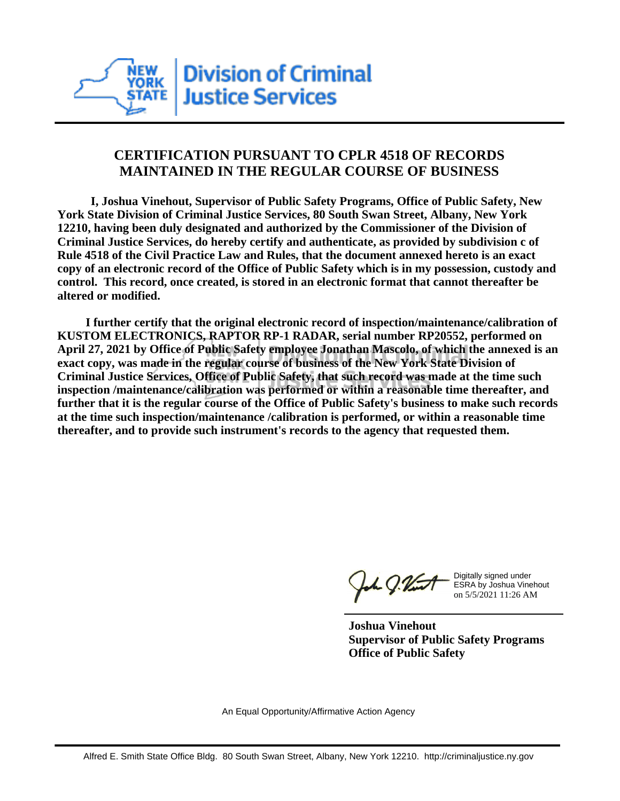

## **CERTIFICATION PURSUANT TO CPLR 4518 OF RECORDS MAINTAINED IN THE REGULAR COURSE OF BUSINESS**

 **I, Joshua Vinehout, Supervisor of Public Safety Programs, Office of Public Safety, New York State Division of Criminal Justice Services, 80 South Swan Street, Albany, New York 12210, having been duly designated and authorized by the Commissioner of the Division of Criminal Justice Services, do hereby certify and authenticate, as provided by subdivision c of Rule 4518 of the Civil Practice Law and Rules, that the document annexed hereto is an exact copy of an electronic record of the Office of Public Safety which is in my possession, custody and control. This record, once created, is stored in an electronic format that cannot thereafter be altered or modified.**

 **I further certify that the original electronic record of inspection/maintenance/calibration of KUSTOM ELECTRONICS, RAPTOR RP-1 RADAR, serial number RP20552, performed on April 27, 2021 by Office of Public Safety employee Jonathan Mascolo, of which the annexed is an exact copy, was made in the regular course of business of the New York State Division of Criminal Justice Services, Office of Public Safety, that such record was made at the time such inspection /maintenance/calibration was performed or within a reasonable time thereafter, and further that it is the regular course of the Office of Public Safety's business to make such records at the time such inspection/maintenance /calibration is performed, or within a reasonable time thereafter, and to provide such instrument's records to the agency that requested them.**

the g. Vint

Digitally signed under ESRA by Joshua Vinehout on 5/5/2021 11:26 AM

**Joshua Vinehout Supervisor of Public Safety Programs Office of Public Safety**

An Equal Opportunity/Affirmative Action Agency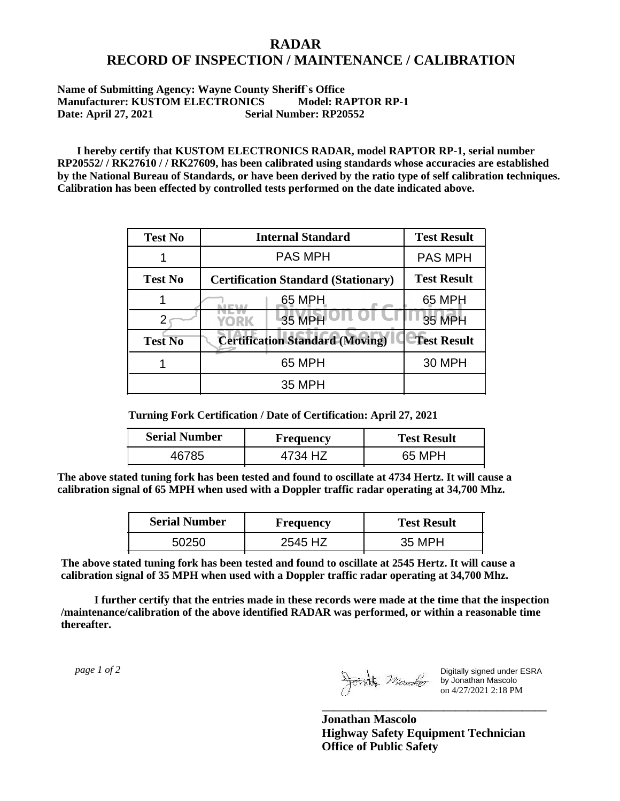## **RADAR RECORD OF INSPECTION / MAINTENANCE / CALIBRATION**

## **Name of Submitting Agency: Wayne County Sheriff`s Office Manufacturer: KUSTOM ELECTRONICS Model: RAPTOR RP-1 Date: April 27, 2021 Serial Number: RP20552**

 **I hereby certify that KUSTOM ELECTRONICS RADAR, model RAPTOR RP-1, serial number RP20552/ / RK27610 / / RK27609, has been calibrated using standards whose accuracies are established by the National Bureau of Standards, or have been derived by the ratio type of self calibration techniques. Calibration has been effected by controlled tests performed on the date indicated above.**

| <b>Test No</b> | <b>Internal Standard</b>                   | <b>Test Result</b> |
|----------------|--------------------------------------------|--------------------|
|                | <b>PAS MPH</b>                             | <b>PAS MPH</b>     |
| <b>Test No</b> | <b>Certification Standard (Stationary)</b> | <b>Test Result</b> |
|                | 65 MPH                                     | 65 MPH             |
|                | 35 MPH<br>YORK                             | 35 MPH             |
| <b>Test No</b> | <b>Certification Standard (Moving)</b>     | <b>Test Result</b> |
|                | 65 MPH                                     | <b>30 MPH</b>      |
|                | 35 MPH                                     |                    |

**Turning Fork Certification / Date of Certification: April 27, 2021**

| <b>Serial Number</b> | <b>Frequency</b> | <b>Test Result</b> |
|----------------------|------------------|--------------------|
| 16785                |                  | 65 MPH             |

**The above stated tuning fork has been tested and found to oscillate at 4734 Hertz. It will cause a calibration signal of 65 MPH when used with a Doppler traffic radar operating at 34,700 Mhz.**

| <b>Serial Number</b> | Frequency | <b>Test Result</b> |
|----------------------|-----------|--------------------|
| 50250                | 2545 HZ   | 35 MPH             |

**The above stated tuning fork has been tested and found to oscillate at 2545 Hertz. It will cause a calibration signal of 35 MPH when used with a Doppler traffic radar operating at 34,700 Mhz.**

 **I further certify that the entries made in these records were made at the time that the inspection /maintenance/calibration of the above identified RADAR was performed, or within a reasonable time thereafter.**

 *page 1 of 2* 

Digitally signed under ESRA by Jonathan Mascolo on 4/27/2021 2:18 PM

**Jonathan Mascolo Highway Safety Equipment Technician Office of Public Safety**

**\_\_\_\_\_\_\_\_\_\_\_\_\_\_\_\_\_\_\_\_\_\_\_\_\_\_\_\_\_\_\_\_\_\_\_\_\_**